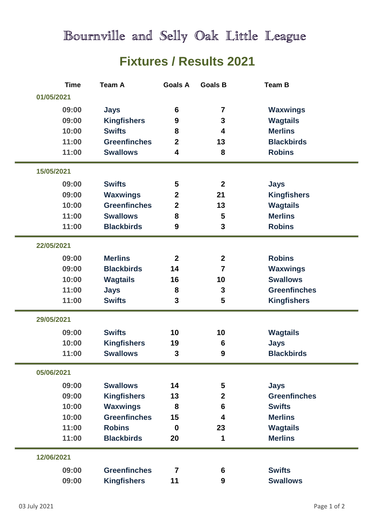Bournville and Selly Oak Little League

## **Fixtures / Results 2021**

| <b>Time</b> | <b>Team A</b>       | <b>Goals A</b>   | <b>Goals B</b>  | <b>Team B</b>       |
|-------------|---------------------|------------------|-----------------|---------------------|
| 01/05/2021  |                     |                  |                 |                     |
| 09:00       | <b>Jays</b>         | 6                | 7               | <b>Waxwings</b>     |
| 09:00       | <b>Kingfishers</b>  | 9                | 3               | <b>Wagtails</b>     |
| 10:00       | <b>Swifts</b>       | 8                | 4               | <b>Merlins</b>      |
| 11:00       | <b>Greenfinches</b> | $\overline{2}$   | 13              | <b>Blackbirds</b>   |
| 11:00       | <b>Swallows</b>     | 4                | 8               | <b>Robins</b>       |
| 15/05/2021  |                     |                  |                 |                     |
| 09:00       | <b>Swifts</b>       | 5                | $\mathbf{2}$    | <b>Jays</b>         |
| 09:00       | <b>Waxwings</b>     | $\mathbf 2$      | 21              | <b>Kingfishers</b>  |
| 10:00       | <b>Greenfinches</b> | $\mathbf 2$      | 13              | <b>Wagtails</b>     |
| 11:00       | <b>Swallows</b>     | 8                | 5               | <b>Merlins</b>      |
| 11:00       | <b>Blackbirds</b>   | 9                | $\mathbf 3$     | <b>Robins</b>       |
| 22/05/2021  |                     |                  |                 |                     |
| 09:00       | <b>Merlins</b>      | $\boldsymbol{2}$ | $\mathbf{2}$    | <b>Robins</b>       |
| 09:00       | <b>Blackbirds</b>   | 14               | $\overline{7}$  | <b>Waxwings</b>     |
| 10:00       | <b>Wagtails</b>     | 16               | 10              | <b>Swallows</b>     |
| 11:00       | <b>Jays</b>         | 8                | 3               | <b>Greenfinches</b> |
| 11:00       | <b>Swifts</b>       | 3                | 5               | <b>Kingfishers</b>  |
| 29/05/2021  |                     |                  |                 |                     |
| 09:00       | <b>Swifts</b>       | 10               | 10              | <b>Wagtails</b>     |
| 10:00       | <b>Kingfishers</b>  | 19               | 6               | <b>Jays</b>         |
| 11:00       | <b>Swallows</b>     | 3                | 9               | <b>Blackbirds</b>   |
| 05/06/2021  |                     |                  |                 |                     |
| 09:00       | <b>Swallows</b>     | 14               | 5               | <b>Jays</b>         |
| 09:00       | <b>Kingfishers</b>  | 13               | $\mathbf{2}$    | <b>Greenfinches</b> |
| 10:00       | <b>Waxwings</b>     | 8                | 6               | <b>Swifts</b>       |
| 10:00       | <b>Greenfinches</b> | 15               | 4               | <b>Merlins</b>      |
| 11:00       | <b>Robins</b>       | $\bf{0}$         | 23              | <b>Wagtails</b>     |
| 11:00       | <b>Blackbirds</b>   | 20               | 1               | <b>Merlins</b>      |
| 12/06/2021  |                     |                  |                 |                     |
| 09:00       | <b>Greenfinches</b> | 7                | $6\phantom{1}6$ | <b>Swifts</b>       |
| 09:00       | <b>Kingfishers</b>  | 11               | 9               | <b>Swallows</b>     |